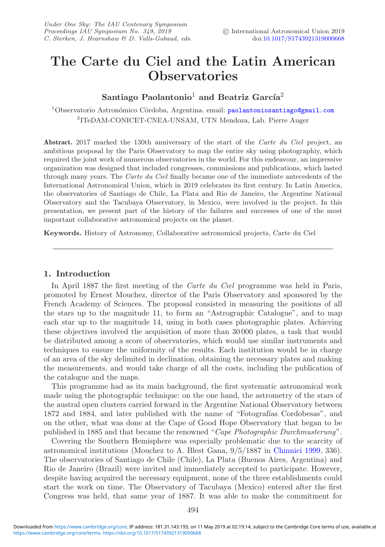# **The Carte du Ciel and the Latin American Observatories**

## Santiago Paolantonio<sup>1</sup> and Beatriz García<sup>2</sup>

<sup>1</sup>Observatorio Astronómico Córdoba, Argentina. email: [paolantoniosantiago@gmail.com](mailto:paolantoniosantiago@gmail.com) <sup>2</sup>ITeDAM-CONICET-CNEA-UNSAM, UTN Mendoza, Lab. Pierre Auger

**Abstract.** 2017 marked the 130th anniversary of the start of the *Carte du Ciel* project, an ambitious proposal by the Paris Observatory to map the entire sky using photographiy, which required the joint work of numerous observatories in the world. For this endeavour, an impressive organization was designed that included congresses, commissions and publications, which lasted through many years. The *Carte du Ciel* finally became one of the immediate antecedents of the International Astronomical Union, which in 2019 celebrates its first century. In Latin America, the observatories of Santiago de Chile, La Plata and Rio de Janeiro, the Argentine National Observatory and the Tacubaya Observatory, in Mexico, were involved in the project. In this presentation, we present part of the history of the failures and successes of one of the most important collaborative astronomical projects on the planet.

**Keywords.** History of Astronomy, Collaborative astronomical projects, Carte du Ciel

### **1. Introduction**

In April 1887 the first meeting of the *Carte du Ciel* programme was held in Paris, promoted by Ernest Mouchez, director of the Paris Observatory and sponsored by the French Academy of Sciences. The proposal consisted in measuring the positions of all the stars up to the magnitude 11, to form an "Astrographic Catalogue", and to map each star up to the magnitude 14, using in both cases photographic plates. Achieving these objectives involved the acquisition of more than 30 000 plates, a task that would be distributed among a score of observatories, which would use similar instruments and techniques to ensure the uniformity of the results. Each institution would be in charge of an area of the sky delimited in declination, obtaining the necessary plates and making the measurements, and would take charge of all the costs, including the publication of the catalogue and the maps.

This programme had as its main background, the first systematic astronomical work made using the photographic technique: on the one hand, the astrometry of the stars of the austral open clusters carried forward in the Argentine National Observatory between 1872 and 1884, and later published with the name of "Fotografías Cordobesas", and on the other, what was done at the Cape of Good Hope Observatory that began to be published in 1885 and that became the renowned "*Cape Photographic Durchmusterung*".

Covering the Southern Hemisphere was especially problematic due to the scarcity of astronomical institutions (Mouchez to A. Blest Gana, 9/5/1887 in [Chinnici 1999,](#page-7-0) 336). The observatories of Santiago de Chile (Chile), La Plata (Buenos Aires, Argentina) and Rio de Janeiro (Brazil) were invited and immediately accepted to participate. However, despite having acquired the necessary equipment, none of the three establishments could start the work on time. The Observatory of Tacubaya (Mexico) entered after the first Congress was held, that same year of 1887. It was able to make the commitment for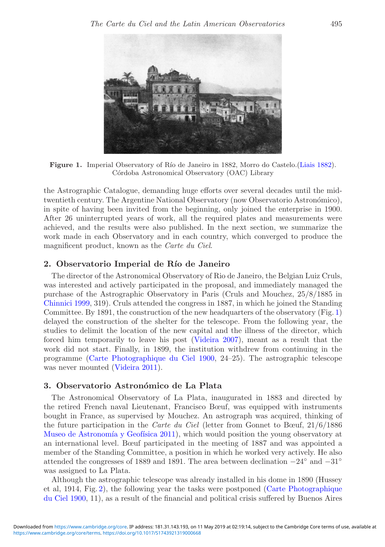<span id="page-1-0"></span>

**Figure 1.** Imperial Observatory of Río de Janeiro in 1882, Morro do Castelo. [\(Liais 1882\)](#page-7-1). Córdoba Astronomical Observatory (OAC) Library

the Astrographic Catalogue, demanding huge efforts over several decades until the midtwentieth century. The Argentine National Observatory (now Observatorio Astronómico), in spite of having been invited from the beginning, only joined the enterprise in 1900. After 26 uninterrupted years of work, all the required plates and measurements were achieved, and the results were also published. In the next section, we summarize the work made in each Observatory and in each country, which converged to produce the magnificent product, known as the *Carte du Ciel*.

#### 2. Observatorio Imperial de Río de Janeiro

The director of the Astronomical Observatory of Rio de Janeiro, the Belgian Luiz Cruls, was interested and actively participated in the proposal, and immediately managed the purchase of the Astrographic Observatory in Paris (Cruls and Mouchez, 25/8/1885 in [Chinnici 1999](#page-7-0), 319). Cruls attended the congress in 1887, in which he joined the Standing Committee. By 1891, the construction of the new headquarters of the observatory (Fig. [1\)](#page-1-0) delayed the construction of the shelter for the telescope. From the following year, the studies to delimit the location of the new capital and the illness of the director, which forced him temporarily to leave his post [\(Videira 2007](#page-7-2)), meant as a result that the work did not start. Finally, in 1899, the institution withdrew from continuing in the programme [\(Carte Photographique du Ciel 1900,](#page-6-0) 24–25). The astrographic telescope was never mounted [\(Videira 2011\)](#page-7-3).

#### **3. Observatorio Astron´omico de La Plata**

The Astronomical Observatory of La Plata, inaugurated in 1883 and directed by the retired French naval Lieutenant, Francisco Bœuf, was equipped with instruments bought in France, as supervised by Mouchez. An astrograph was acquired, thinking of the future participation in the *Carte du Ciel* (letter from Gonnet to Bœuf, 21/6/1886 Museo de Astronomía y Geofísica 2011), which would position the young observatory at an international level. Bœuf participated in the meeting of 1887 and was appointed a member of the Standing Committee, a position in which he worked very actively. He also attended the congresses of 1889 and 1891. The area between declination *−*24◦ and *−*31◦ was assigned to La Plata.

Although the astrographic telescope was already installed in his dome in 1890 (Hussey et al, 1914, Fig. [2\)](#page-2-0), the following year the tasks were postponed [\(Carte Photographique](#page-6-1) [du Ciel](#page-6-1) [1900](#page-6-0), 11), as a result of the financial and political crisis suffered by Buenos Aires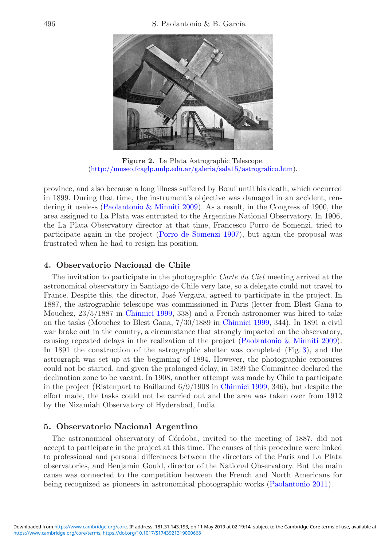<span id="page-2-0"></span>

**Figure 2.** La Plata Astrographic Telescope. [\(http://museo.fcaglp.unlp.edu.ar/galeria/sala15/astrografico.htm\)](http://museo.fcaglp.unlp.edu.ar/galeria/sala15/astrografico.htm).

province, and also because a long illness suffered by Bœuf until his death, which occurred in 1899. During that time, the instrument's objective was damaged in an accident, rendering it useless [\(Paolantonio & Minniti 2009\)](#page-7-5). As a result, in the Congress of 1900, the area assigned to La Plata was entrusted to the Argentine National Observatory. In 1906, the La Plata Observatory director at that time, Francesco Porro de Somenzi, tried to participate again in the project [\(Porro de Somenzi 1907](#page-7-6)), but again the proposal was frustrated when he had to resign his position.

## **4. Observatorio Nacional de Chile**

The invitation to participate in the photographic *Carte du Ciel* meeting arrived at the astronomical observatory in Santiago de Chile very late, so a delegate could not travel to France. Despite this, the director, José Vergara, agreed to participate in the project. In 1887, the astrographic telescope was commissioned in Paris (letter from Blest Gana to Mouchez, 23/5/1887 in [Chinnici 1999,](#page-7-0) 338) and a French astronomer was hired to take on the tasks (Mouchez to Blest Gana, 7/30/1889 in [Chinnici 1999](#page-7-0), 344). In 1891 a civil war broke out in the country, a circumstance that strongly impacted on the observatory, causing repeated delays in the realization of the project [\(Paolantonio & Minniti 2009\)](#page-7-5). In 1891 the construction of the astrographic shelter was completed (Fig. [3\)](#page-3-0), and the astrograph was set up at the beginning of 1894. However, the photographic exposures could not be started, and given the prolonged delay, in 1899 the Committee declared the declination zone to be vacant. In 1908, another attempt was made by Chile to participate in the project (Ristenpart to Baillaund 6/9/1908 in [Chinnici 1999](#page-7-0), 346), but despite the effort made, the tasks could not be carried out and the area was taken over from 1912 by the Nizamiah Observatory of Hyderabad, India.

## **5. Observatorio Nacional Argentino**

The astronomical observatory of Cordoba, invited to the meeting of 1887, did not accept to participate in the project at this time. The causes of this procedure were linked to professional and personal differences between the directors of the Paris and La Plata observatories, and Benjamin Gould, director of the National Observatory. But the main cause was connected to the competition between the French and North Americans for being recognized as pioneers in astronomical photographic works [\(Paolantonio 2011](#page-7-7)).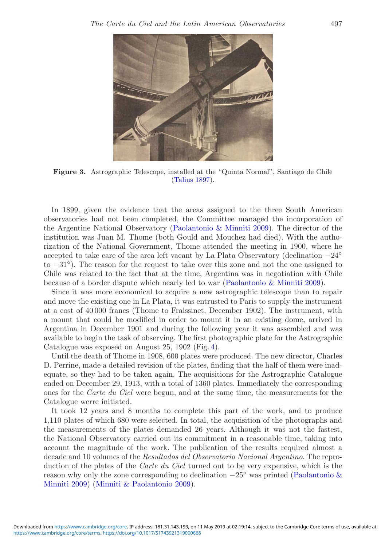<span id="page-3-0"></span>

**Figure 3.** Astrographic Telescope, installed at the "Quinta Normal", Santiago de Chile [\(Talius 1897\)](#page-7-8).

In 1899, given the evidence that the areas assigned to the three South American observatories had not been completed, the Committee managed the incorporation of the Argentine National Observatory [\(Paolantonio & Minniti 2009](#page-7-5)). The director of the institution was Juan M. Thome (both Gould and Mouchez had died). With the authorization of the National Government, Thome attended the meeting in 1900, where he accepted to take care of the area left vacant by La Plata Observatory (declination *−*24◦ to *−*31◦). The reason for the request to take over this zone and not the one assigned to Chile was related to the fact that at the time, Argentina was in negotiation with Chile because of a border dispute which nearly led to war [\(Paolantonio & Minniti 2009\)](#page-7-5).

Since it was more economical to acquire a new astrographic telescope than to repair and move the existing one in La Plata, it was entrusted to Paris to supply the instrument at a cost of 40 000 francs (Thome to Fraissinet, December 1902). The instrument, with a mount that could be modified in order to mount it in an existing dome, arrived in Argentina in December 1901 and during the following year it was assembled and was available to begin the task of observing. The first photographic plate for the Astrographic Catalogue was exposed on August 25, 1902 (Fig. [4\)](#page-4-0).

Until the death of Thome in 1908, 600 plates were produced. The new director, Charles D. Perrine, made a detailed revision of the plates, finding that the half of them were inadequate, so they had to be taken again. The acquisitions for the Astrographic Catalogue ended on December 29, 1913, with a total of 1360 plates. Immediately the corresponding ones for the *Carte du Ciel* were begun, and at the same time, the measurements for the Catalogue werre initiated.

It took 12 years and 8 months to complete this part of the work, and to produce 1,110 plates of which 680 were selected. In total, the acquisition of the photographs and the measurements of the plates demanded 26 years. Although it was not the fastest, the National Observatory carried out its commitment in a reasonable time, taking into account the magnitude of the work. The publication of the results required almost a decade and 10 volumes of the *Resultados del Observatorio Nacional Argentino*. The reproduction of the plates of the *Carte du Ciel* turned out to be very expensive, which is the reason why only the zone corresponding to declination *−*25◦ was printed [\(Paolantonio &](#page-6-1) [Minniti](#page-6-1) [2009\)](#page-7-5) [\(Minniti & Paolantonio 2009](#page-7-9)).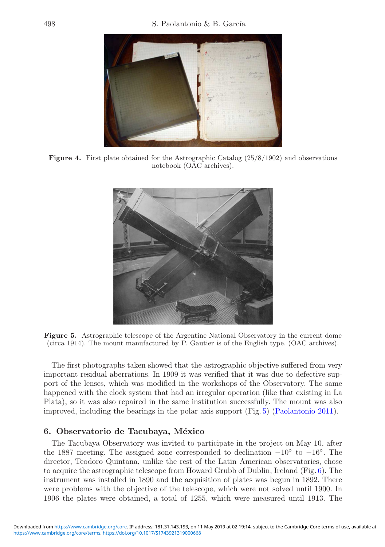<span id="page-4-0"></span>

**Figure 4.** First plate obtained for the Astrographic Catalog (25/8/1902) and observations notebook (OAC archives).

<span id="page-4-1"></span>

**Figure 5.** Astrographic telescope of the Argentine National Observatory in the current dome (circa 1914). The mount manufactured by P. Gautier is of the English type. (OAC archives).

The first photographs taken showed that the astrographic objective suffered from very important residual aberrations. In 1909 it was verified that it was due to defective support of the lenses, which was modified in the workshops of the Observatory. The same happened with the clock system that had an irregular operation (like that existing in La Plata), so it was also repaired in the same institution successfully. The mount was also improved, including the bearings in the polar axis support (Fig. [5\)](#page-4-1) [\(Paolantonio 2011](#page-7-7)).

## **6. Observatorio de Tacubaya, M´exico**

The Tacubaya Observatory was invited to participate in the project on May 10, after the 1887 meeting. The assigned zone corresponded to declination *−*10◦ to *−*16◦. The director, Teodoro Quintana, unlike the rest of the Latin American observatories, chose to acquire the astrographic telescope from Howard Grubb of Dublin, Ireland (Fig. [6\)](#page-5-0). The instrument was installed in 1890 and the acquisition of plates was begun in 1892. There were problems with the objective of the telescope, which were not solved until 1900. In 1906 the plates were obtained, a total of 1255, which were measured until 1913. The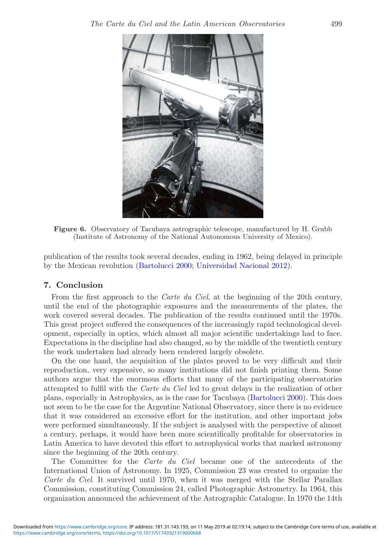<span id="page-5-0"></span>

**Figure 6.** Observatory of Tacubaya astrographic telescope, manufactured by H. Grubb (Institute of Astronomy of the National Autonomous University of Mexico).

publication of the results took several decades, ending in 1962, being delayed in principle by the Mexican revolution [\(Bartolucci 2000;](#page-6-2) [Universidad Nacional 2012](#page-7-10)).

### **7. Conclusion**

From the first approach to the *Carte du Ciel*, at the beginning of the 20th century, until the end of the photographic exposures and the measurements of the plates, the work covered several decades. The publication of the results continued until the 1970s. This great project suffered the consequences of the increasingly rapid technological development, especially in optics, which almost all major scientific undertakings had to face. Expectations in the discipline had also changed, so by the middle of the twentieth century the work undertaken had already been rendered largely obsolete.

On the one hand, the acquisition of the plates proved to be very difficult and their reproduction, very expensive, so many institutions did not finish printing them. Some authors argue that the enormous efforts that many of the participating observatories attempted to fulfil with the *Carte du Ciel* led to great delays in the realization of other plans, especially in Astrophysics, as is the case for Tacubaya [\(Bartolucci 2000\)](#page-6-2). This does not seem to be the case for the Argentine National Observatory, since there is no evidence that it was considered an excessive effort for the institution, and other important jobs were performed simultaneously. If the subject is analysed with the perspective of almost a century, perhaps, it would have been more scientifically profitable for observatories in Latin America to have devoted this effort to astrophysical works that marked astronomy since the beginning of the 20th century.

The Committee for the *Carte du Ciel* became one of the antecedents of the International Union of Astronomy. In 1925, Commission 23 was created to organize the *Carte du Ciel*. It survived until 1970, when it was merged with the Stellar Parallax Commission, constituting Commission 24, called Photographic Astrometry. In 1964, this organization announced the achievement of the Astrographic Catalogue. In 1970 the 14th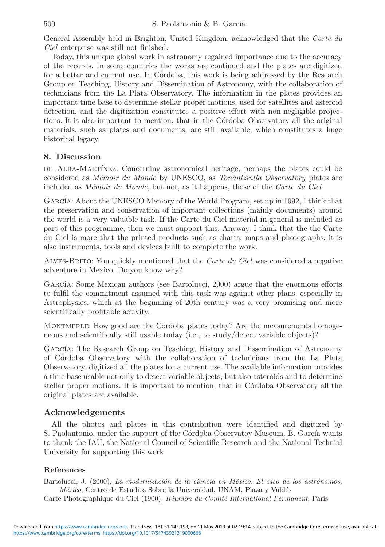General Assembly held in Brighton, United Kingdom, acknowledged that the *Carte du Ciel* enterprise was still not finished.

Today, this unique global work in astronomy regained importance due to the accuracy of the records. In some countries the works are continued and the plates are digitized for a better and current use. In Córdoba, this work is being addressed by the Research Group on Teaching, History and Dissemination of Astronomy, with the collaboration of technicians from the La Plata Observatory. The information in the plates provides an important time base to determine stellar proper motions, used for satellites and asteroid detection, and the digitization constitutes a positive effort with non-negligible projections. It is also important to mention, that in the C´ordoba Observatory all the original materials, such as plates and documents, are still available, which constitutes a huge historical legacy.

## **8. Discussion**

DE ALBA-MARTÍNEZ: Concerning astronomical heritage, perhaps the plates could be considered as *M´emoir du Monde* by UNESCO, as *Tonantzintla Observatory* plates are included as *M´emoir du Monde*, but not, as it happens, those of the *Carte du Ciel*.

GARCÍA: About the UNESCO Memory of the World Program, set up in 1992, I think that the preservation and conservation of important collections (mainly documents) around the world is a very valuable task. If the Carte du Ciel material in general is included as part of this programme, then we must support this. Anyway, I think that the the Carte du Ciel is more that the printed products such as charts, maps and photographs; it is also instruments, tools and devices built to complete the work.

Alves-Brito: You quickly mentioned that the *Carte du Ciel* was considered a negative adventure in Mexico. Do you know why?

GARCÍA: Some Mexican authors (see Bartolucci, 2000) argue that the enormous efforts to fulfil the commitment assumed with this task was against other plans, especially in Astrophysics, which at the beginning of 20th century was a very promising and more scientifically profitable activity.

MONTMERLE: How good are the Córdoba plates today? Are the measurements homogeneous and scientifically still usable today (i.e., to study/detect variable objects)?

GARCÍA: The Research Group on Teaching, History and Dissemination of Astronomy of C´ordoba Observatory with the collaboration of technicians from the La Plata Observatory, digitized all the plates for a current use. The available information provides a time base usable not only to detect variable objects, but also asteroids and to determine stellar proper motions. It is important to mention, that in Córdoba Observatory all the original plates are available.

## **Acknowledgements**

All the photos and plates in this contribution were identified and digitized by S. Paolantonio, under the support of the Córdoba Observatoy Museum. B. García wants to thank the IAU, the National Council of Scientific Research and the National Technial University for supporting this work.

## <span id="page-6-1"></span>**References**

<span id="page-6-2"></span>Bartolucci, J. (2000), *La modernización de la ciencia en México. El caso de los astrónomos*, *México*, Centro de Estudios Sobre la Universidad, UNAM, Plaza y Valdés

<span id="page-6-0"></span>Carte Photographique du Ciel (1900), *Réunion du Comité International Permanent*, Paris